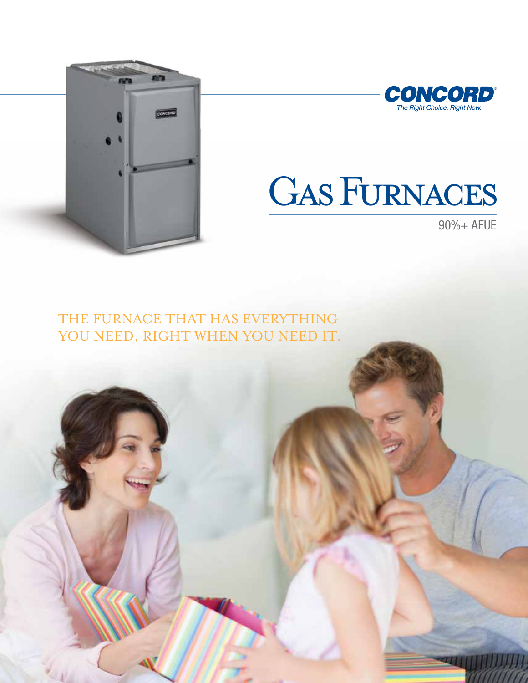



# GAS FURNACES

90%+ AFUE

THE FURNACE THAT HAS EVERYTHING YOU NEED, RIGHT WHEN YOU NEED IT.

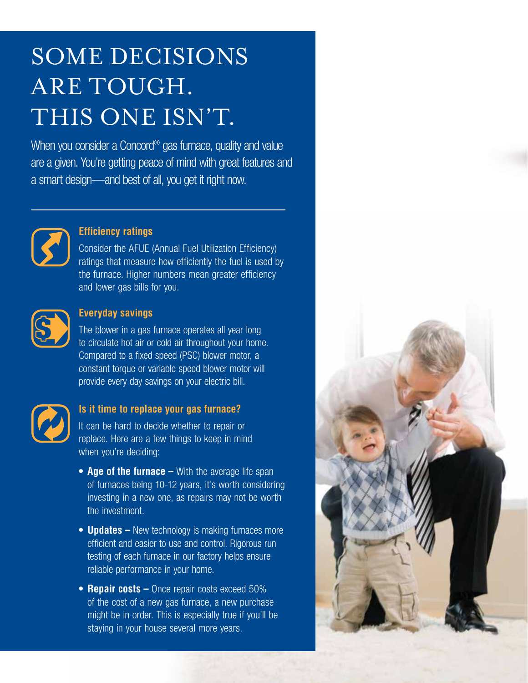## SOME DECISIONS ARE TOUGH. THIS ONE ISN'T.

When you consider a Concord<sup>®</sup> gas furnace, quality and value are a given. You're getting peace of mind with great features and a smart design—and best of all, you get it right now.



#### **Efficiency ratings**

Consider the AFUE (Annual Fuel Utilization Efficiency) ratings that measure how efficiently the fuel is used by the furnace. Higher numbers mean greater efficiency and lower gas bills for you.



#### **Everyday savings**

The blower in a gas furnace operates all year long to circulate hot air or cold air throughout your home. Compared to a fixed speed (PSC) blower motor, a constant torque or variable speed blower motor will provide every day savings on your electric bill.



#### **Is it time to replace your gas furnace?**

It can be hard to decide whether to repair or replace. Here are a few things to keep in mind when you're deciding:

- **• Age of the furnace –** With the average life span of furnaces being 10-12 years, it's worth considering investing in a new one, as repairs may not be worth the investment.
- **Updates –** New technology is making furnaces more efficient and easier to use and control. Rigorous run testing of each furnace in our factory helps ensure reliable performance in your home.
- **Repair costs –** Once repair costs exceed 50% of the cost of a new gas furnace, a new purchase might be in order. This is especially true if you'll be staying in your house several more years.

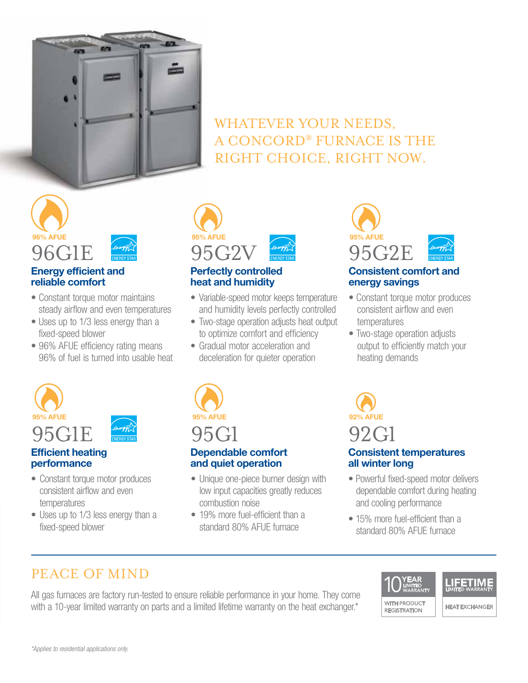

## WHATEVER YOUR NEEDS, A CONCORD® FURNACE IS THE RIGHT CHOICE, RIGHT NOW.



#### **Energy efficient and reliable comfort**

- Constant torque motor maintains steady airflow and even temperatures
- Uses up to 1/3 less energy than a fixed-speed blower
- 96% AFUE efficiency rating means 96% of fuel is turned into usable heat



#### **Perfectly controlled heat and humidity**

- Variable-speed motor keeps temperature and humidity levels perfectly controlled
- Two-stage operation adjusts heat output to optimize comfort and efficiency
- Gradual motor acceleration and deceleration for quieter operation



#### **Consistent comfort and energy savings**

- Constant torque motor produces consistent airflow and even temperatures
- Two-stage operation adjusts output to efficiently match your heating demands



#### **Efficient heating performance**

- Constant torque motor produces consistent airflow and even temperatures
- Uses up to 1/3 less energy than a fixed-speed blower



## **Dependable comfort and quiet operation**

- Unique one-piece burner design with low input capacities greatly reduces combustion noise
- 19% more fuel-efficient than a standard 80% AFUE furnace



- Powerful fixed-speed motor delivers dependable comfort during heating and cooling performance
- 15% more fuel-efficient than a standard 80% AFUE furnace

**REGISTRATION** 

## PEACE OF MIND

All gas furnaces are factory run-tested to ensure reliable performance in your home. They come with a 10-year limited warranty on parts and a limited lifetime warranty on the heat exchanger.\*





**HEAT EXCHANGER**